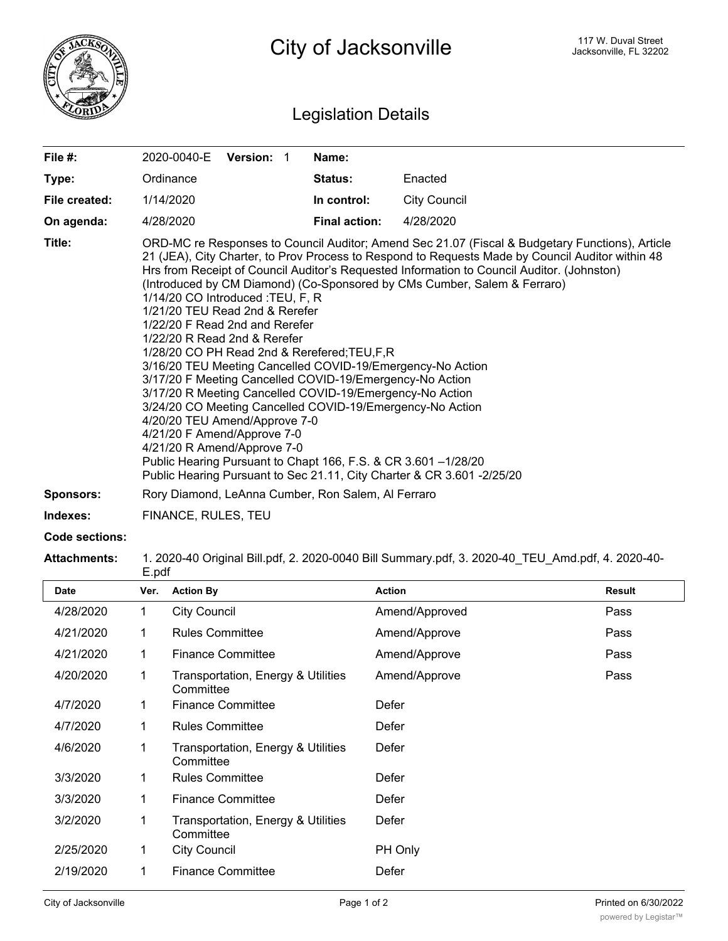

## Legislation Details

| File #:          | 2020-0040-E<br>Version: 1                                                                                                                                                                                                                                                                                                                                                                                                                                                                                                                                                                                                                                                            | Name:                |                                                                                                                                                                                                                                                                                                                                                                               |
|------------------|--------------------------------------------------------------------------------------------------------------------------------------------------------------------------------------------------------------------------------------------------------------------------------------------------------------------------------------------------------------------------------------------------------------------------------------------------------------------------------------------------------------------------------------------------------------------------------------------------------------------------------------------------------------------------------------|----------------------|-------------------------------------------------------------------------------------------------------------------------------------------------------------------------------------------------------------------------------------------------------------------------------------------------------------------------------------------------------------------------------|
| Type:            | Ordinance                                                                                                                                                                                                                                                                                                                                                                                                                                                                                                                                                                                                                                                                            | Status:              | Enacted                                                                                                                                                                                                                                                                                                                                                                       |
| File created:    | 1/14/2020                                                                                                                                                                                                                                                                                                                                                                                                                                                                                                                                                                                                                                                                            | In control:          | <b>City Council</b>                                                                                                                                                                                                                                                                                                                                                           |
| On agenda:       | 4/28/2020                                                                                                                                                                                                                                                                                                                                                                                                                                                                                                                                                                                                                                                                            | <b>Final action:</b> | 4/28/2020                                                                                                                                                                                                                                                                                                                                                                     |
| Title:           | 1/14/20 CO Introduced : TEU, F, R<br>1/21/20 TEU Read 2nd & Rerefer<br>1/22/20 F Read 2nd and Rerefer<br>1/22/20 R Read 2nd & Rerefer<br>1/28/20 CO PH Read 2nd & Rerefered; TEU, F, R<br>3/16/20 TEU Meeting Cancelled COVID-19/Emergency-No Action<br>3/17/20 F Meeting Cancelled COVID-19/Emergency-No Action<br>3/17/20 R Meeting Cancelled COVID-19/Emergency-No Action<br>3/24/20 CO Meeting Cancelled COVID-19/Emergency-No Action<br>4/20/20 TEU Amend/Approve 7-0<br>4/21/20 F Amend/Approve 7-0<br>4/21/20 R Amend/Approve 7-0<br>Public Hearing Pursuant to Chapt 166, F.S. & CR 3.601 -1/28/20<br>Public Hearing Pursuant to Sec 21.11, City Charter & CR 3.601 -2/25/20 |                      | ORD-MC re Responses to Council Auditor; Amend Sec 21.07 (Fiscal & Budgetary Functions), Article<br>21 (JEA), City Charter, to Prov Process to Respond to Requests Made by Council Auditor within 48<br>Hrs from Receipt of Council Auditor's Requested Information to Council Auditor. (Johnston)<br>(Introduced by CM Diamond) (Co-Sponsored by CMs Cumber, Salem & Ferraro) |
| <b>Sponsors:</b> | Rory Diamond, LeAnna Cumber, Ron Salem, Al Ferraro                                                                                                                                                                                                                                                                                                                                                                                                                                                                                                                                                                                                                                   |                      |                                                                                                                                                                                                                                                                                                                                                                               |

**Indexes:** FINANCE, RULES, TEU

## **Code sections:**

**Attachments:** 1. 2020-40 Original Bill.pdf, 2. 2020-0040 Bill Summary.pdf, 3. 2020-40\_TEU\_Amd.pdf, 4. 2020-40-

|           |      | E.pdf                                           |                |               |  |  |  |
|-----------|------|-------------------------------------------------|----------------|---------------|--|--|--|
| Date      | Ver. | <b>Action By</b>                                | <b>Action</b>  | <b>Result</b> |  |  |  |
| 4/28/2020 | 1    | <b>City Council</b>                             | Amend/Approved | Pass          |  |  |  |
| 4/21/2020 | 1    | <b>Rules Committee</b>                          | Amend/Approve  | Pass          |  |  |  |
| 4/21/2020 | 1    | <b>Finance Committee</b>                        | Amend/Approve  | Pass          |  |  |  |
| 4/20/2020 | 1    | Transportation, Energy & Utilities<br>Committee | Amend/Approve  | Pass          |  |  |  |
| 4/7/2020  | 1    | <b>Finance Committee</b>                        | Defer          |               |  |  |  |
| 4/7/2020  | 1    | <b>Rules Committee</b>                          | Defer          |               |  |  |  |
| 4/6/2020  | 1    | Transportation, Energy & Utilities<br>Committee | Defer          |               |  |  |  |
| 3/3/2020  | 1    | <b>Rules Committee</b>                          | Defer          |               |  |  |  |
| 3/3/2020  | 1    | <b>Finance Committee</b>                        | Defer          |               |  |  |  |
| 3/2/2020  | 1    | Transportation, Energy & Utilities<br>Committee | Defer          |               |  |  |  |
| 2/25/2020 | 1    | <b>City Council</b>                             | PH Only        |               |  |  |  |
| 2/19/2020 | 1    | <b>Finance Committee</b>                        | Defer          |               |  |  |  |